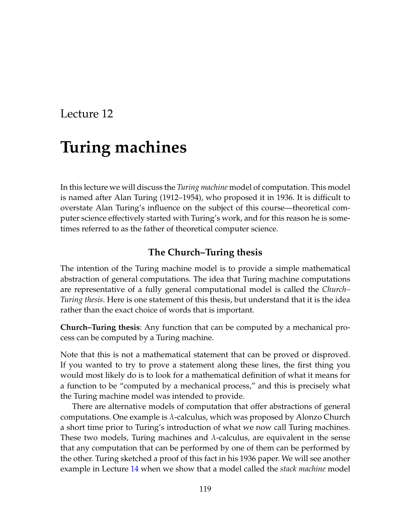# **Turing machines**

In this lecture we will discuss the *Turing machine* model of computation. This model is named after Alan Turing (1912–1954), who proposed it in 1936. It is difficult to overstate Alan Turing's influence on the subject of this course—theoretical computer science effectively started with Turing's work, and for this reason he is sometimes referred to as the father of theoretical computer science.

## **The Church–Turing thesis**

The intention of the Turing machine model is to provide a simple mathematical abstraction of general computations. The idea that Turing machine computations are representative of a fully general computational model is called the *Church– Turing thesis*. Here is one statement of this thesis, but understand that it is the idea rather than the exact choice of words that is important.

**Church–Turing thesis**: Any function that can be computed by a mechanical process can be computed by a Turing machine.

Note that this is not a mathematical statement that can be proved or disproved. If you wanted to try to prove a statement along these lines, the first thing you would most likely do is to look for a mathematical definition of what it means for a function to be "computed by a mechanical process," and this is precisely what the Turing machine model was intended to provide.

There are alternative models of computation that offer abstractions of general computations. One example is *λ*-calculus, which was proposed by Alonzo Church a short time prior to Turing's introduction of what we now call Turing machines. These two models, Turing machines and *λ*-calculus, are equivalent in the sense that any computation that can be performed by one of them can be performed by the other. Turing sketched a proof of this fact in his 1936 paper. We will see another example in Lecture [14](#page--1-0) when we show that a model called the *stack machine* model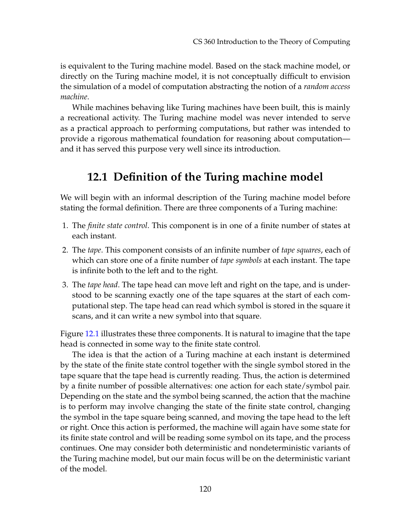is equivalent to the Turing machine model. Based on the stack machine model, or directly on the Turing machine model, it is not conceptually difficult to envision the simulation of a model of computation abstracting the notion of a *random access machine*.

While machines behaving like Turing machines have been built, this is mainly a recreational activity. The Turing machine model was never intended to serve as a practical approach to performing computations, but rather was intended to provide a rigorous mathematical foundation for reasoning about computation and it has served this purpose very well since its introduction.

# **12.1 Definition of the Turing machine model**

We will begin with an informal description of the Turing machine model before stating the formal definition. There are three components of a Turing machine:

- 1. The *finite state control*. This component is in one of a finite number of states at each instant.
- 2. The *tape*. This component consists of an infinite number of *tape squares*, each of which can store one of a finite number of *tape symbols* at each instant. The tape is infinite both to the left and to the right.
- 3. The *tape head*. The tape head can move left and right on the tape, and is understood to be scanning exactly one of the tape squares at the start of each computational step. The tape head can read which symbol is stored in the square it scans, and it can write a new symbol into that square.

Figure [12.1](#page-2-0) illustrates these three components. It is natural to imagine that the tape head is connected in some way to the finite state control.

The idea is that the action of a Turing machine at each instant is determined by the state of the finite state control together with the single symbol stored in the tape square that the tape head is currently reading. Thus, the action is determined by a finite number of possible alternatives: one action for each state/symbol pair. Depending on the state and the symbol being scanned, the action that the machine is to perform may involve changing the state of the finite state control, changing the symbol in the tape square being scanned, and moving the tape head to the left or right. Once this action is performed, the machine will again have some state for its finite state control and will be reading some symbol on its tape, and the process continues. One may consider both deterministic and nondeterministic variants of the Turing machine model, but our main focus will be on the deterministic variant of the model.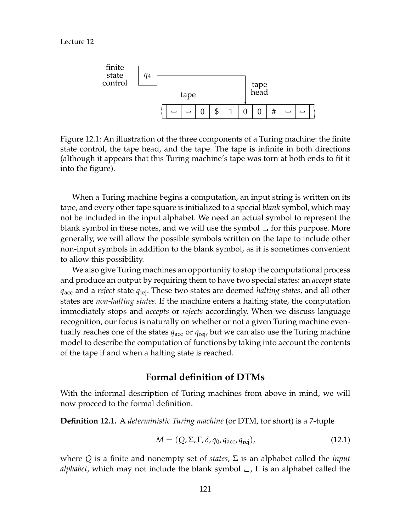

<span id="page-2-0"></span>Figure 12.1: An illustration of the three components of a Turing machine: the finite state control, the tape head, and the tape. The tape is infinite in both directions (although it appears that this Turing machine's tape was torn at both ends to fit it into the figure).

When a Turing machine begins a computation, an input string is written on its tape, and every other tape square is initialized to a special *blank* symbol, which may not be included in the input alphabet. We need an actual symbol to represent the blank symbol in these notes, and we will use the symbol  $\Box$  for this purpose. More generally, we will allow the possible symbols written on the tape to include other non-input symbols in addition to the blank symbol, as it is sometimes convenient to allow this possibility.

We also give Turing machines an opportunity to stop the computational process and produce an output by requiring them to have two special states: an *accept* state *q*acc and a *reject* state *q*rej. These two states are deemed *halting states*, and all other states are *non-halting states*. If the machine enters a halting state, the computation immediately stops and *accepts* or *rejects* accordingly. When we discuss language recognition, our focus is naturally on whether or not a given Turing machine eventually reaches one of the states  $q_{\text{acc}}$  or  $q_{\text{reiv}}$  but we can also use the Turing machine model to describe the computation of functions by taking into account the contents of the tape if and when a halting state is reached.

### **Formal definition of DTMs**

With the informal description of Turing machines from above in mind, we will now proceed to the formal definition.

**Definition 12.1.** A *deterministic Turing machine* (or DTM, for short) is a 7-tuple

$$
M = (Q, \Sigma, \Gamma, \delta, q_0, q_{\text{acc}}, q_{\text{rej}}), \qquad (12.1)
$$

where *Q* is a finite and nonempty set of *states*, Σ is an alphabet called the *input alphabet*, which may not include the blank symbol , Γ is an alphabet called the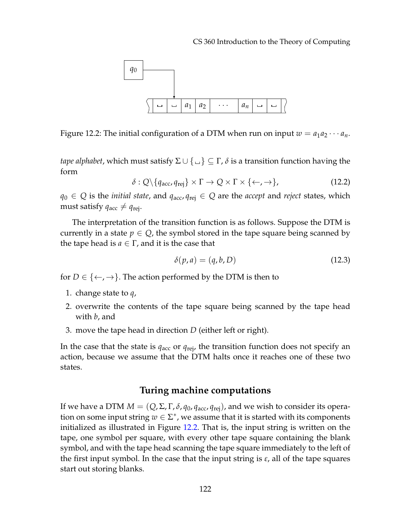

<span id="page-3-0"></span>Figure 12.2: The initial configuration of a DTM when run on input  $w = a_1 a_2 \cdots a_n$ .

*tape alphabet*, which must satisfy  $\Sigma \cup \{\_\}$   $\subseteq \Gamma$ ,  $\delta$  is a transition function having the form

$$
\delta: Q \setminus \{q_{\text{acc}}, q_{\text{rej}}\} \times \Gamma \to Q \times \Gamma \times \{\leftarrow, \rightarrow\},\tag{12.2}
$$

*q*<sub>0</sub> ∈ *Q* is the *initial state*, and  $q_{\text{acc}}$ ,  $q_{\text{rej}}$  ∈ *Q* are the *accept* and *reject* states, which must satisfy  $q_{\text{acc}} \neq q_{\text{rej}}$ .

The interpretation of the transition function is as follows. Suppose the DTM is currently in a state  $p \in Q$ , the symbol stored in the tape square being scanned by the tape head is  $a \in \Gamma$ , and it is the case that

$$
\delta(p, a) = (q, b, D) \tag{12.3}
$$

for  $D \in \{ \leftarrow, \rightarrow \}$ . The action performed by the DTM is then to

- 1. change state to *q*,
- 2. overwrite the contents of the tape square being scanned by the tape head with *b*, and
- 3. move the tape head in direction *D* (either left or right).

In the case that the state is  $q_{\text{acc}}$  or  $q_{\text{rej}}$ , the transition function does not specify an action, because we assume that the DTM halts once it reaches one of these two states.

## **Turing machine computations**

If we have a DTM  $M = (Q, \Sigma, \Gamma, \delta, q_0, q_{\text{acc}}, q_{\text{rej}})$ , and we wish to consider its operation on some input string  $w \in \Sigma^*$ , we assume that it is started with its components initialized as illustrated in Figure [12.2.](#page-3-0) That is, the input string is written on the tape, one symbol per square, with every other tape square containing the blank symbol, and with the tape head scanning the tape square immediately to the left of the first input symbol. In the case that the input string is  $\varepsilon$ , all of the tape squares start out storing blanks.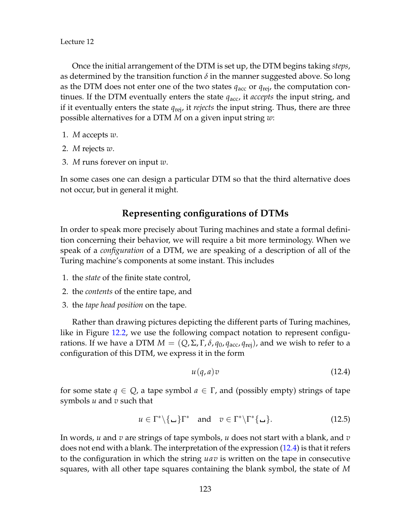Once the initial arrangement of the DTM is set up, the DTM begins taking *steps*, as determined by the transition function  $\delta$  in the manner suggested above. So long as the DTM does not enter one of the two states *q*acc or *q*rej, the computation continues. If the DTM eventually enters the state  $q_{\text{acc}}$ , it *accepts* the input string, and if it eventually enters the state *q*rej, it *rejects* the input string. Thus, there are three possible alternatives for a DTM *M* on a given input string *w*:

- 1. *M* accepts *w*.
- 2. *M* rejects *w*.
- 3. *M* runs forever on input *w*.

In some cases one can design a particular DTM so that the third alternative does not occur, but in general it might.

## **Representing configurations of DTMs**

In order to speak more precisely about Turing machines and state a formal definition concerning their behavior, we will require a bit more terminology. When we speak of a *configuration* of a DTM, we are speaking of a description of all of the Turing machine's components at some instant. This includes

- 1. the *state* of the finite state control,
- 2. the *contents* of the entire tape, and
- 3. the *tape head position* on the tape.

Rather than drawing pictures depicting the different parts of Turing machines, like in Figure [12.2,](#page-3-0) we use the following compact notation to represent configurations. If we have a DTM  $M = (Q, \Sigma, \Gamma, \delta, q_0, q_{\text{acc}}, q_{\text{rei}})$ , and we wish to refer to a configuration of this DTM, we express it in the form

<span id="page-4-0"></span>
$$
u(q, a)v \tag{12.4}
$$

for some state  $q \in Q$ , a tape symbol  $a \in \Gamma$ , and (possibly empty) strings of tape symbols *u* and *v* such that

$$
u \in \Gamma^* \setminus \{\underline{\hspace{1cm}}\} \Gamma^* \quad \text{and} \quad v \in \Gamma^* \setminus \Gamma^* \{\underline{\hspace{1cm}}\}.
$$
 (12.5)

In words, *u* and *v* are strings of tape symbols, *u* does not start with a blank, and *v* does not end with a blank. The interpretation of the expression [\(12.4\)](#page-4-0) is that it refers to the configuration in which the string *uav* is written on the tape in consecutive squares, with all other tape squares containing the blank symbol, the state of *M*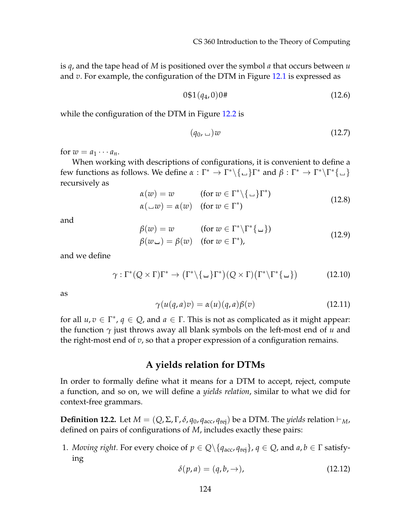is *q*, and the tape head of *M* is positioned over the symbol *a* that occurs between *u* and *v*. For example, the configuration of the DTM in Figure [12.1](#page-2-0) is expressed as

$$
0\$1(q_4,0)0\# \t\t(12.6)
$$

while the configuration of the DTM in Figure [12.2](#page-3-0) is

$$
(q_0, \underline{\hspace{1cm}})w \tag{12.7}
$$

for  $w = a_1 \cdots a_n$ .

When working with descriptions of configurations, it is convenient to define a few functions as follows. We define  $\alpha$  :  $\Gamma^* \to \Gamma^* \backslash \{\_\} \Gamma^*$  and  $\beta : \Gamma^* \to \Gamma^* \backslash \Gamma^* \{\_\}$ recursively as

$$
\alpha(w) = w \qquad \text{(for } w \in \Gamma^* \setminus \{ \bot \} \Gamma^* \text{)}\n\alpha(\bot w) = \alpha(w) \qquad \text{(for } w \in \Gamma^* \text{)}\n\tag{12.8}
$$

and

$$
\begin{aligned}\n\beta(w) &= w \qquad \text{(for } w \in \Gamma^* \backslash \Gamma^* \{ \_\} \text{)} \\
\beta(w \Box) &= \beta(w) \quad \text{(for } w \in \Gamma^* \text{)}\n\end{aligned}\n\tag{12.9}
$$

and we define

$$
\gamma: \Gamma^*(Q \times \Gamma)\Gamma^* \to (\Gamma^*\backslash \{\underline{\hspace{1cm}}\}\Gamma^*)(Q \times \Gamma)(\Gamma^*\backslash \Gamma^*\{\underline{\hspace{1cm}}\}) \tag{12.10}
$$

as

$$
\gamma(u(q,a)v) = \alpha(u)(q,a)\beta(v) \qquad (12.11)
$$

for all  $u, v \in \Gamma^*$ ,  $q \in Q$ , and  $a \in \Gamma$ . This is not as complicated as it might appear: the function *γ* just throws away all blank symbols on the left-most end of *u* and the right-most end of *v*, so that a proper expression of a configuration remains.

## **A yields relation for DTMs**

In order to formally define what it means for a DTM to accept, reject, compute a function, and so on, we will define a *yields relation*, similar to what we did for context-free grammars.

**Definition 12.2.** Let  $M = (Q, \Sigma, \Gamma, \delta, q_0, q_{\text{acc}}, q_{\text{rej}})$  be a DTM. The *yields* relation  $\vdash_M$ , defined on pairs of configurations of *M*, includes exactly these pairs:

1. *Moving right.* For every choice of  $p \in Q \setminus \{q_{\text{acc}}, q_{\text{rej}}\}, q \in Q$ , and  $a, b \in \Gamma$  satisfying

$$
\delta(p, a) = (q, b, \rightarrow), \tag{12.12}
$$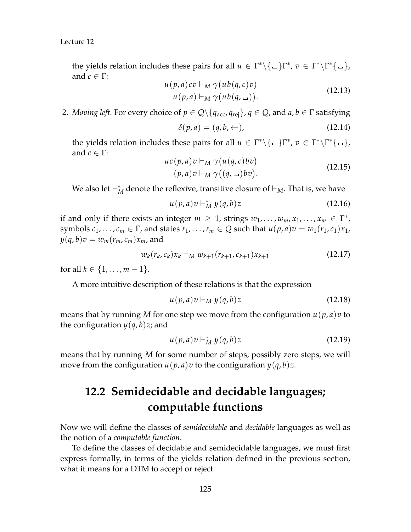the yields relation includes these pairs for all  $u \in \Gamma^* \backslash \{ \Box \} \Gamma^*$ ,  $v \in \Gamma^* \backslash \Gamma^* \{ \Box \}$ , and  $c \in \Gamma$ :

$$
u(p,a)c\,v \vdash_M \gamma (ub(q,c)v)
$$
  
 
$$
u(p,a) \vdash_M \gamma (ub(q,\sqcup)). \qquad (12.13)
$$

2. *Moving left.* For every choice of  $p \in Q \setminus \{q_{\text{acc}}, q_{\text{rei}}\}, q \in Q$ , and  $a, b \in \Gamma$  satisfying

$$
\delta(p, a) = (q, b, \leftarrow), \tag{12.14}
$$

the yields relation includes these pairs for all  $u \in \Gamma^* \backslash \{ \Box \} \Gamma^*$ ,  $v \in \Gamma^* \backslash \Gamma^* \{ \Box \}$ , and  $c \in \Gamma$ :

$$
uc(p, a)v \vdash_M \gamma (u(q, c)bv)
$$
  
(p, a)v \vdash\_M \gamma ((q, \\_)bv). (12.15)

We also let  $\vdash_M^*$  denote the reflexive, transitive closure of  $\vdash_M$ . That is, we have

$$
u(p,a)v \vdash_M^* y(q,b)z \tag{12.16}
$$

if and only if there exists an integer  $m \geq 1$ , strings  $w_1, \ldots, w_m, x_1, \ldots, x_m \in \Gamma^*$ , symbols  $c_1, \ldots, c_m \in \Gamma$ , and states  $r_1, \ldots, r_m \in Q$  such that  $u(p, a)v = w_1(r_1, c_1)x_1$ ,  $y(q, b)v = w_m(r_m, c_m)x_m$ , and

$$
w_k(r_k, c_k)x_k \vdash_M w_{k+1}(r_{k+1}, c_{k+1})x_{k+1}
$$
\n(12.17)

for all  $k \in \{1, ..., m-1\}$ .

A more intuitive description of these relations is that the expression

$$
u(p,a)v \vdash_M y(q,b)z \tag{12.18}
$$

means that by running M for one step we move from the configuration  $u(p, a)v$  to the configuration  $y(q, b)z$ ; and

$$
u(p,a)v \vdash_M^* y(q,b)z \tag{12.19}
$$

means that by running *M* for some number of steps, possibly zero steps, we will move from the configuration  $u(p, a)v$  to the configuration  $y(q, b)z$ .

# **12.2 Semidecidable and decidable languages; computable functions**

Now we will define the classes of *semidecidable* and *decidable* languages as well as the notion of a *computable function*.

To define the classes of decidable and semidecidable languages, we must first express formally, in terms of the yields relation defined in the previous section, what it means for a DTM to accept or reject.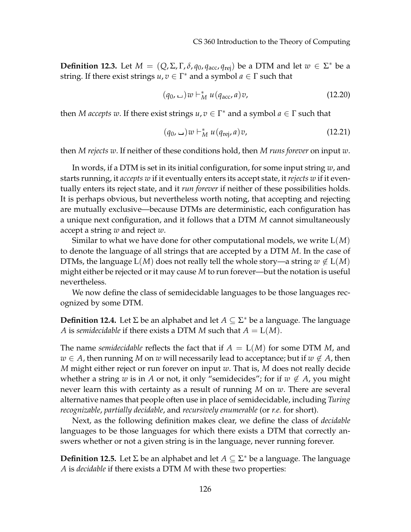**Definition 12.3.** Let  $M = (Q, \Sigma, \Gamma, \delta, q_0, q_{\text{acc}}, q_{\text{rej}})$  be a DTM and let  $w \in \Sigma^*$  be a string. If there exist strings  $u, v \in \Gamma^*$  and a symbol  $a \in \Gamma$  such that

$$
(q_0, \, \underline{\ \ }\,) w \vdash_M^* u (q_{\text{acc}}, a) v, \tag{12.20}
$$

then *M* accepts w. If there exist strings  $u, v \in \Gamma^*$  and a symbol  $a \in \Gamma$  such that

$$
(q_0, \sqcup) w \vdash_M^* u (q_{\text{rej}}, a) v,
$$
\n
$$
(12.21)
$$

then *M rejects w*. If neither of these conditions hold, then *M runs forever* on input *w*.

In words, if a DTM is set in its initial configuration, for some input string *w*, and starts running, it *accepts w* if it eventually enters its accept state, it *rejects w* if it eventually enters its reject state, and it *run forever* if neither of these possibilities holds. It is perhaps obvious, but nevertheless worth noting, that accepting and rejecting are mutually exclusive—because DTMs are deterministic, each configuration has a unique next configuration, and it follows that a DTM *M* cannot simultaneously accept a string *w* and reject *w*.

Similar to what we have done for other computational models, we write L(*M*) to denote the language of all strings that are accepted by a DTM *M*. In the case of DTMs, the language  $L(M)$  does not really tell the whole story—a string  $w \notin L(M)$ might either be rejected or it may cause *M* to run forever—but the notation is useful nevertheless.

We now define the class of semidecidable languages to be those languages recognized by some DTM.

**Definition 12.4.** Let Σ be an alphabet and let *A* ⊆ Σ <sup>∗</sup> be a language. The language *A* is *semidecidable* if there exists a DTM *M* such that  $A = L(M)$ .

The name *semidecidable* reflects the fact that if  $A = L(M)$  for some DTM M, and  $w \in A$ , then running *M* on *w* will necessarily lead to acceptance; but if  $w \notin A$ , then *M* might either reject or run forever on input *w*. That is, *M* does not really decide whether a string *w* is in *A* or not, it only "semidecides"; for if  $w \notin A$ , you might never learn this with certainty as a result of running *M* on *w*. There are several alternative names that people often use in place of semidecidable, including *Turing recognizable*, *partially decidable*, and *recursively enumerable* (or *r.e.* for short).

Next, as the following definition makes clear, we define the class of *decidable* languages to be those languages for which there exists a DTM that correctly answers whether or not a given string is in the language, never running forever.

**Definition 12.5.** Let Σ be an alphabet and let *A* ⊆ Σ <sup>∗</sup> be a language. The language *A* is *decidable* if there exists a DTM *M* with these two properties: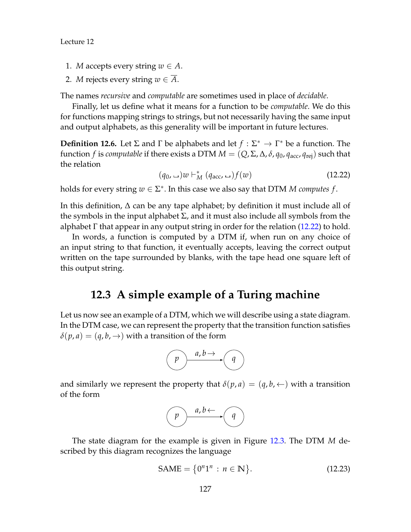- 1. *M* accepts every string  $w \in A$ .
- 2. *M* rejects every string  $w \in A$ .

The names *recursive* and *computable* are sometimes used in place of *decidable*.

Finally, let us define what it means for a function to be *computable*. We do this for functions mapping strings to strings, but not necessarily having the same input and output alphabets, as this generality will be important in future lectures.

**Definition 12.6.** Let  $\Sigma$  and  $\Gamma$  be alphabets and let  $f : \Sigma^* \to \Gamma^*$  be a function. The function *f* is *computable* if there exists a DTM  $M = (Q, \Sigma, \Delta, \delta, q_0, q_{\text{acc}}, q_{\text{rej}})$  such that the relation

<span id="page-8-0"></span>
$$
(q_0, \Box)w \vdash_M^* (q_{\text{acc}}, \Box) f(w) \tag{12.22}
$$

holds for every string  $w \in \Sigma^*$ . In this case we also say that DTM *M computes f*.

In this definition, ∆ can be any tape alphabet; by definition it must include all of the symbols in the input alphabet  $\Sigma$ , and it must also include all symbols from the alphabet  $\Gamma$  that appear in any output string in order for the relation [\(12.22\)](#page-8-0) to hold.

In words, a function is computed by a DTM if, when run on any choice of an input string to that function, it eventually accepts, leaving the correct output written on the tape surrounded by blanks, with the tape head one square left of this output string.

# **12.3 A simple example of a Turing machine**

Let us now see an example of a DTM, which we will describe using a state diagram. In the DTM case, we can represent the property that the transition function satisfies  $\delta(p, a) = (q, b, \rightarrow)$  with a transition of the form



and similarly we represent the property that  $\delta(p, a) = (q, b, \leftarrow)$  with a transition of the form

$$
\bigodot \xrightarrow{a,b \leftarrow} \bigodot
$$

The state diagram for the example is given in Figure [12.3.](#page-9-0) The DTM *M* described by this diagram recognizes the language

$$
SAME = \{0^n1^n : n \in \mathbb{N}\}.
$$
 (12.23)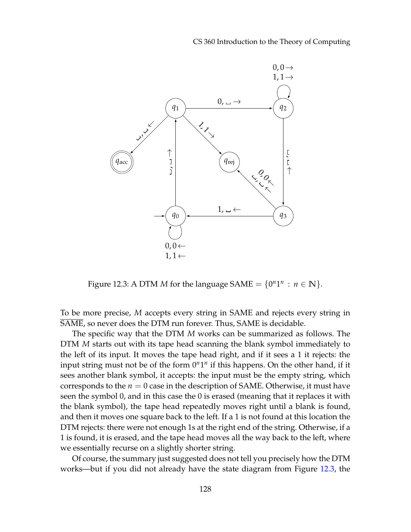CS 360 Introduction to the Theory of Computing



<span id="page-9-0"></span>Figure 12.3: A DTM *M* for the language SAME =  $\{0^n1^n : n \in \mathbb{N}\}.$ 

To be more precise, *M* accepts every string in SAME and rejects every string in SAME, so never does the DTM run forever. Thus, SAME is decidable.

The specific way that the DTM *M* works can be summarized as follows. The DTM *M* starts out with its tape head scanning the blank symbol immediately to the left of its input. It moves the tape head right, and if it sees a 1 it rejects: the input string must not be of the form  $0^n1^n$  if this happens. On the other hand, if it sees another blank symbol, it accepts: the input must be the empty string, which corresponds to the  $n = 0$  case in the description of SAME. Otherwise, it must have seen the symbol 0, and in this case the 0 is erased (meaning that it replaces it with the blank symbol), the tape head repeatedly moves right until a blank is found, and then it moves one square back to the left. If a 1 is not found at this location the DTM rejects: there were not enough 1s at the right end of the string. Otherwise, if a 1 is found, it is erased, and the tape head moves all the way back to the left, where we essentially recurse on a slightly shorter string.

Of course, the summary just suggested does not tell you precisely how the DTM works—but if you did not already have the state diagram from Figure [12.3,](#page-9-0) the